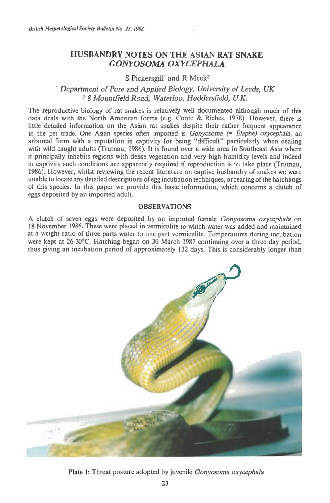# **HUSBANDRY NOTES ON THE ASIAN RAT SNAKE**  *GONYOSOMA OXYCEPHALA*

## S Pickersgill<sup>1</sup> and R Meek<sup>2</sup>

## *' Department of Pure and Applied Biology, University of Leeds, UK*  <sup>2</sup>*8 Mountfield Road, Waterloo, Huddersfield, U.K.*

The reproductive biology of rat snakes is relatively well documented although much of this data deals with the North American forms (e.g. Coote & Riches, 1978). However, there is little detailed information on the Asian rat snakes despite their rather frequent appearance in the pet trade. One Asian species often imported is *Gonyosoma Elaphe) oxycephala,* an arboreal form with a reputation in captivity for being "difficult" particularly when dealing with wild caught adults (Trutnau, 1986). It is found over a wide area in Southeast Asia where it principally inhabits regions with dense vegetation and very high humidity levels and indeed in captivity such conditions are apparently required if reproduction is to take place (Trutnau, 1986). However, whilst reviewing the recent literature on captive husbandry of snakes we were unable to locate any detailed descriptions of egg incubation techniques, or rearing of the hatchlings of this species. In this paper we provide this basic information, which concerns a clutch of eggs deposited by an imported adult.

### OBSERVATIONS

A clutch of seven eggs were deposited by an imported female *Gonyosoma oxycephala* on 18 November 1986. These were placed in vermiculite to which water was added and maintained at a weight ratio of three parts water to one part vermiculite. Temperatures during incubation were kept at 26-30°C. Hatching began on 30 March 1987 continuing over a three day period, thus giving an incubation period of approximately 132 days. This is considerably longer than



Plate 1: Threat posture adopted by juvenile *Gonyosoma oxycephala*